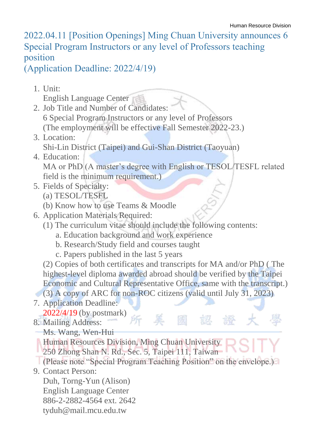2022.04.11 [Position Openings] Ming Chuan University announces 6 Special Program Instructors or any level of Professors teaching position

(Application Deadline: 2022/4/19)

1. Unit:

English Language Center

- 2. Job Title and Number of Candidates: 6 Special Program Instructors or any level of Professors (The employment will be effective Fall Semester 2022-23.)
- 3. Location: Shi-Lin District (Taipei) and Gui-Shan District (Taoyuan)
- 4. Education: MA or PhD (A master's degree with English or TESOL/TESFL related field is the minimum requirement.)
- 5. Fields of Specialty:
	- (a) TESOL/TESFL
	- (b) Know how to use Teams & Moodle
- 6. Application Materials Required:
	- (1) The curriculum vitae should include the following contents:
		- a. Education background and work experience
		- b. Research/Study field and courses taught
		- c. Papers published in the last 5 years

(2) Copies of both certificates and transcripts for MA and/or PhD ( The highest-level diploma awarded abroad should be verified by the Taipei Economic and Cultural Representative Office, same with the transcript.)

國

認

(3) A copy of ARC for non-ROC citizens (valid until July 31, 2023)

所美

- 7. Application Deadline: 2022/4/19 (by postmark)
- 8. Mailing Address:
	- Ms. Wang, Wen-Hui

**Human Resources Division, Ming Chuan University** 250 Zhong Shan N. Rd., Sec. 5, Taipei 111, Taiwan

- (Please note "Special Program Teaching Position" on the envelope.)
- 9. Contact Person:

Duh, Torng-Yun (Alison) English Language Center 886-2-2882-4564 ext. 2642 tyduh@mail.mcu.edu.tw